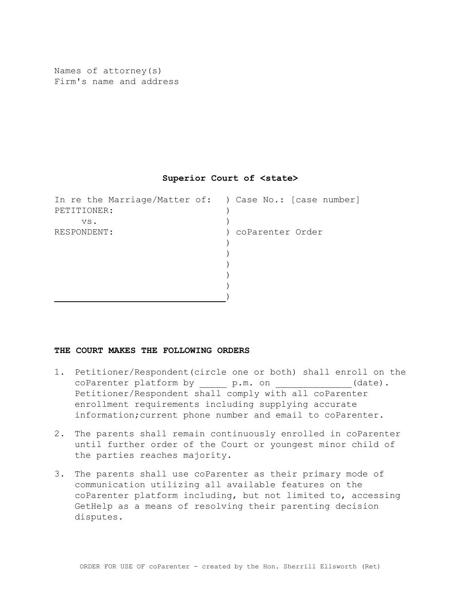Names of attorney(s) Firm's name and address

## **Superior Court of <state>**

In re the Marriage/Matter of: ) Case No.: [case number] PETITIONER: vs. RESPONDENT:  $\lambda$  $)$ ) coParenter Order  $)$ ) ) )  $)$  $)$ 

## **THE COURT MAKES THE FOLLOWING ORDERS**

- 1. Petitioner/Respondent(circle one or both) shall enroll on the coParenter platform by p.m. on \_\_\_\_\_\_\_\_\_\_\_\_(date). Petitioner/Respondent shall comply with all coParenter enrollment requirements including supplying accurate information;current phone number and email to coParenter.
- 2. The parents shall remain continuously enrolled in coParenter until further order of the Court or youngest minor child of the parties reaches majority.
- 3. The parents shall use coParenter as their primary mode of communication utilizing all available features on the coParenter platform including, but not limited to, accessing GetHelp as a means of resolving their parenting decision disputes.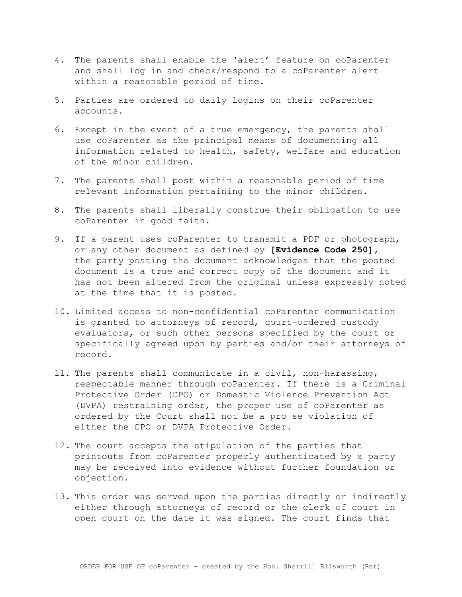- 4. The parents shall enable the 'alert' feature on coParenter and shall log in and check/respond to a coParenter alert within a reasonable period of time.
- 5. Parties are ordered to daily logins on their coParenter accounts.
- 6. Except in the event of a true emergency, the parents shall use coParenter as the principal means of documenting all information related to health, safety, welfare and education of the minor children.
- 7. The parents shall post within a reasonable period of time relevant information pertaining to the minor children.
- 8. The parents shall liberally construe their obligation to use coParenter in good faith.
- 9. If a parent uses coParenter to transmit a PDF or photograph, or any other document as defined by **[Evidence Code 250],** the party posting the document acknowledges that the posted document is a true and correct copy of the document and it has not been altered from the original unless expressly noted at the time that it is posted.
- 10. Limited access to non-confidential coParenter communication is granted to attorneys of record, court-ordered custody evaluators, or such other persons specified by the court or specifically agreed upon by parties and/or their attorneys of record.
- 11. The parents shall communicate in a civil, non-harassing, respectable manner through coParenter. If there is a Criminal Protective Order (CPO) or Domestic Violence Prevention Act (DVPA) restraining order, the proper use of coParenter as ordered by the Court shall not be a pro se violation of either the CPO or DVPA Protective Order.
- 12. The court accepts the stipulation of the parties that printouts from coParenter properly authenticated by a party may be received into evidence without further foundation or objection.
- 13. This order was served upon the parties directly or indirectly either through attorneys of record or the clerk of court in open court on the date it was signed. The court finds that